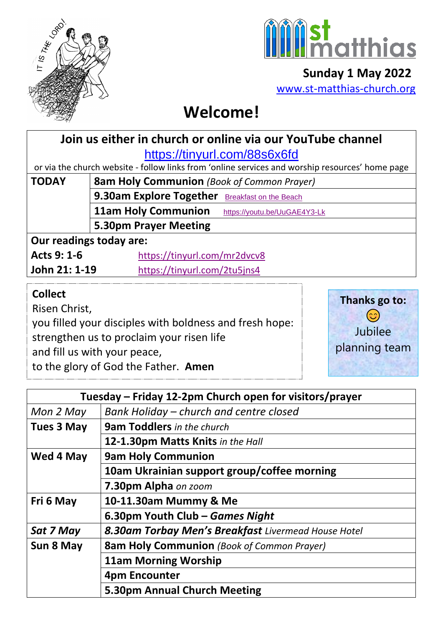



 **Sunday 1 May 2022** [www.st-matthias-church.org](http://www.st-matthias-church.org/)

## **Welcome!**

# **Join us either in church or online via our YouTube channel**

<https://tinyurl.com/88s6x6fd>

or via the church website - follow links from 'online services and worship resources' home page

| <b>TODAY</b> | <b>8am Holy Communion</b> (Book of Common Prayer)                                                              |                              |  |
|--------------|----------------------------------------------------------------------------------------------------------------|------------------------------|--|
|              | 9.30am Explore Together Breakfast on the Beach                                                                 |                              |  |
|              | <b>11am Holy Communion</b>                                                                                     | https://youtu.be/UuGAE4Y3-Lk |  |
|              | 5.30pm Prayer Meeting                                                                                          |                              |  |
|              | A considered to the state of the state of the state of the state of the state of the state of the state of the |                              |  |

## **Our readings today are:**

| Acts 9: 1-6   | https://tinyurl.com/mr2dvcv8 |
|---------------|------------------------------|
| John 21: 1-19 | https://tinyurl.com/2tu5jns4 |

## **Collect**

Risen Christ,

you filled your disciples with boldness and fresh hope:

strengthen us to proclaim your risen life

and fill us with your peace,

to the glory of God the Father. **Amen** 



|                   | Tuesday – Friday 12-2pm Church open for visitors/prayer |  |
|-------------------|---------------------------------------------------------|--|
| Mon 2 May         | Bank Holiday – church and centre closed                 |  |
| <b>Tues 3 May</b> | <b>9am Toddlers</b> in the church                       |  |
|                   | 12-1.30pm Matts Knits in the Hall                       |  |
| Wed 4 May         | <b>9am Holy Communion</b>                               |  |
|                   | 10am Ukrainian support group/coffee morning             |  |
|                   | 7.30pm Alpha on zoom                                    |  |
| Fri 6 May         | 10-11.30am Mummy & Me                                   |  |
|                   | 6.30pm Youth Club – Games Night                         |  |
| Sat 7 May         | 8.30am Torbay Men's Breakfast Livermead House Hotel     |  |
| Sun 8 May         | <b>8am Holy Communion</b> (Book of Common Prayer)       |  |
|                   | <b>11am Morning Worship</b>                             |  |
|                   | 4pm Encounter                                           |  |
|                   | 5.30pm Annual Church Meeting                            |  |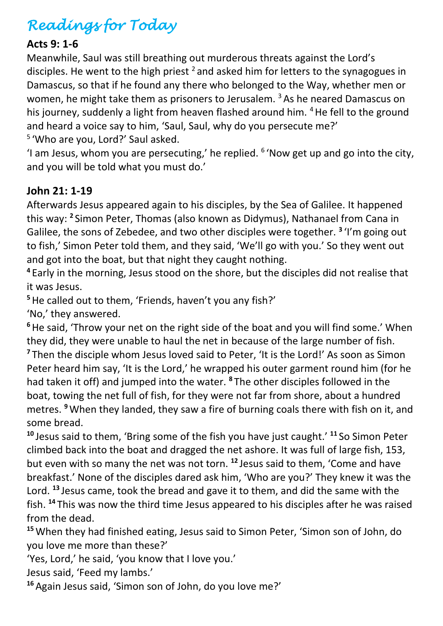## *Readings for Today*

#### **Acts 9: 1-6**

Meanwhile, Saul was still breathing out murderous threats against the Lord's disciples. He went to the high priest  $^2$  and asked him for letters to the synagogues in Damascus, so that if he found any there who belonged to the Way, whether men or women, he might take them as prisoners to Jerusalem.  $3$  As he neared Damascus on his journey, suddenly a light from heaven flashed around him. <sup>4</sup> He fell to the ground and heard a voice say to him, 'Saul, Saul, why do you persecute me?'

<sup>5</sup> 'Who are you, Lord?' Saul asked.

'I am Jesus, whom you are persecuting,' he replied.  $6$  'Now get up and go into the city, and you will be told what you must do.'

## **John 21: 1-19**

Afterwards Jesus appeared again to his disciples, by the Sea of Galilee. It happened this way: **<sup>2</sup>** Simon Peter, Thomas (also known as Didymus), Nathanael from Cana in Galilee, the sons of Zebedee, and two other disciples were together. **<sup>3</sup>** 'I'm going out to fish,' Simon Peter told them, and they said, 'We'll go with you.' So they went out and got into the boat, but that night they caught nothing.

**4** Early in the morning, Jesus stood on the shore, but the disciples did not realise that it was Jesus.

**<sup>5</sup>**He called out to them, 'Friends, haven't you any fish?'

'No,' they answered.

<sup>6</sup> He said, 'Throw your net on the right side of the boat and you will find some.' When they did, they were unable to haul the net in because of the large number of fish.

<sup>7</sup> Then the disciple whom Jesus loved said to Peter, 'It is the Lord!' As soon as Simon Peter heard him say, 'It is the Lord,' he wrapped his outer garment round him (for he had taken it off) and jumped into the water. **<sup>8</sup>** The other disciples followed in the boat, towing the net full of fish, for they were not far from shore, about a hundred metres. **<sup>9</sup>**When they landed, they saw a fire of burning coals there with fish on it, and some bread.

**<sup>10</sup>** Jesus said to them, 'Bring some of the fish you have just caught.' **<sup>11</sup>** So Simon Peter climbed back into the boat and dragged the net ashore. It was full of large fish, 153, but even with so many the net was not torn. **<sup>12</sup>** Jesus said to them, 'Come and have breakfast.' None of the disciples dared ask him, 'Who are you?' They knew it was the Lord. **<sup>13</sup>** Jesus came, took the bread and gave it to them, and did the same with the fish. **<sup>14</sup>** This was now the third time Jesus appeared to his disciples after he was raised from the dead.

**<sup>15</sup>**When they had finished eating, Jesus said to Simon Peter, 'Simon son of John, do you love me more than these?'

'Yes, Lord,' he said, 'you know that I love you.'

Jesus said, 'Feed my lambs.'

**<sup>16</sup>**Again Jesus said, 'Simon son of John, do you love me?'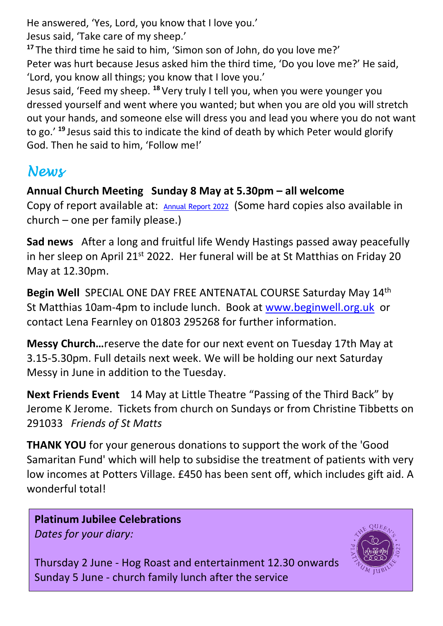He answered, 'Yes, Lord, you know that I love you.'

Jesus said, 'Take care of my sheep.'

**<sup>17</sup>** The third time he said to him, 'Simon son of John, do you love me?'

Peter was hurt because Jesus asked him the third time, 'Do you love me?' He said, 'Lord, you know all things; you know that I love you.'

Jesus said, 'Feed my sheep. **<sup>18</sup>** Very truly I tell you, when you were younger you dressed yourself and went where you wanted; but when you are old you will stretch out your hands, and someone else will dress you and lead you where you do not want to go.' **<sup>19</sup>** Jesus said this to indicate the kind of death by which Peter would glorify God. Then he said to him, 'Follow me!'

## *News*

## **Annual Church Meeting Sunday 8 May at 5.30pm – all welcome**

Copy of report available at: [Annual Report 2022](https://d3hgrlq6yacptf.cloudfront.net/5f107d5e319c5/content/pages/documents/annual-report-2022-final-website-.pdf) (Some hard copies also available in church – one per family please.)

**Sad news** After a long and fruitful life Wendy Hastings passed away peacefully in her sleep on April 21<sup>st</sup> 2022. Her funeral will be at St Matthias on Friday 20 May at 12.30pm.

**Begin Well** SPECIAL ONE DAY FREE ANTENATAL COURSE Saturday May 14th St Matthias 10am-4pm to include lunch. Book at [www.beginwell.org.uk](http://www.beginwell.org.uk/) or contact Lena Fearnley on 01803 295268 for further information.

**Messy Church…**reserve the date for our next event on Tuesday 17th May at 3.15-5.30pm. Full details next week. We will be holding our next Saturday Messy in June in addition to the Tuesday.

**Next Friends Event** 14 May at Little Theatre "Passing of the Third Back" by Jerome K Jerome. Tickets from church on Sundays or from Christine Tibbetts on 291033 *Friends of St Matts*

**THANK YOU** for your generous donations to support the work of the 'Good Samaritan Fund' which will help to subsidise the treatment of patients with very low incomes at Potters Village. £450 has been sent off, which includes gift aid. A wonderful total!

#### **Platinum Jubilee Celebrations** *Dates for your diary:*



Thursday 2 June - Hog Roast and entertainment 12.30 onwards Sunday 5 June - church family lunch after the service